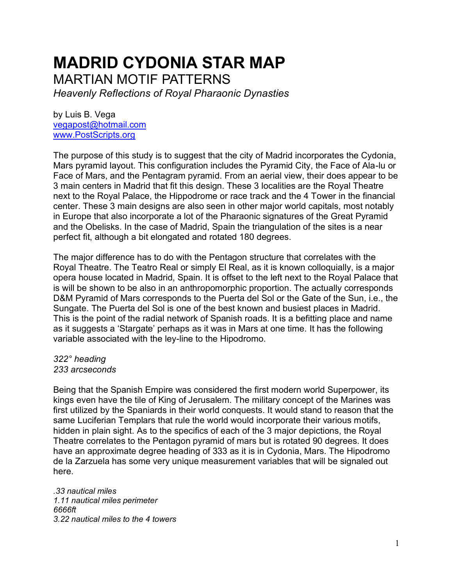## **MADRID CYDONIA STAR MAP**

MARTIAN MOTIF PATTERNS

*Heavenly Reflections of Royal Pharaonic Dynasties*

by Luis B. Vega [vegapost@hotmail.com](mailto:vegapost@hotmail.com) [www.PostScripts.org](http://www.postscripts.org/)

The purpose of this study is to suggest that the city of Madrid incorporates the Cydonia, Mars pyramid layout. This configuration includes the Pyramid City, the Face of Ala-lu or Face of Mars, and the Pentagram pyramid. From an aerial view, their does appear to be 3 main centers in Madrid that fit this design. These 3 localities are the Royal Theatre next to the Royal Palace, the Hippodrome or race track and the 4 Tower in the financial center. These 3 main designs are also seen in other major world capitals, most notably in Europe that also incorporate a lot of the Pharaonic signatures of the Great Pyramid and the Obelisks. In the case of Madrid, Spain the triangulation of the sites is a near perfect fit, although a bit elongated and rotated 180 degrees.

The major difference has to do with the Pentagon structure that correlates with the Royal Theatre. The Teatro Real or simply El Real, as it is known colloquially, is a major opera house located in Madrid, Spain. It is offset to the left next to the Royal Palace that is will be shown to be also in an anthropomorphic proportion. The actually corresponds D&M Pyramid of Mars corresponds to the Puerta del Sol or the Gate of the Sun, i.e., the Sungate. The Puerta del Sol is one of the best known and busiest places in Madrid. This is the point of the radial network of Spanish roads. It is a befitting place and name as it suggests a 'Stargate' perhaps as it was in Mars at one time. It has the following variable associated with the ley-line to the Hipodromo.

## *322° heading 233 arcseconds*

Being that the Spanish Empire was considered the first modern world Superpower, its kings even have the tile of King of Jerusalem. The military concept of the Marines was first utilized by the Spaniards in their world conquests. It would stand to reason that the same Luciferian Templars that rule the world would incorporate their various motifs, hidden in plain sight. As to the specifics of each of the 3 major depictions, the Royal Theatre correlates to the Pentagon pyramid of mars but is rotated 90 degrees. It does have an approximate degree heading of 333 as it is in Cydonia, Mars. The Hipodromo de la Zarzuela has some very unique measurement variables that will be signaled out here.

*.33 nautical miles 1.11 nautical miles perimeter 6666ft 3.22 nautical miles to the 4 towers*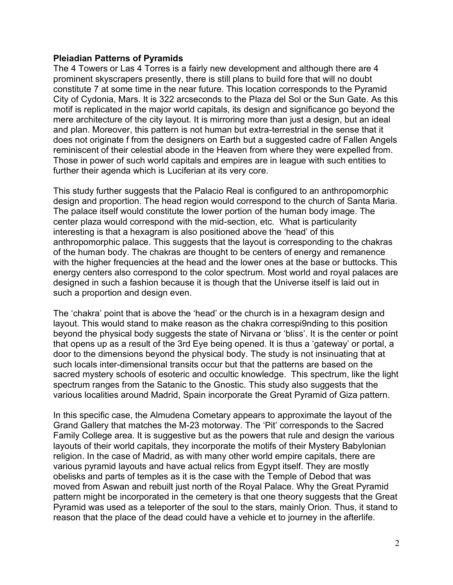## **Pleiadian Patterns of Pyramids**

The 4 Towers or Las 4 Torres is a fairly new development and although there are 4 prominent skyscrapers presently, there is still plans to build fore that will no doubt constitute 7 at some time in the near future. This location corresponds to the Pyramid City of Cydonia, Mars. It is 322 arcseconds to the Plaza del Sol or the Sun Gate. As this motif is replicated in the major world capitals, its design and significance go beyond the mere architecture of the city layout. It is mirroring more than just a design, but an ideal and plan. Moreover, this pattern is not human but extra-terrestrial in the sense that it does not originate f from the designers on Earth but a suggested cadre of Fallen Angels reminiscent of their celestial abode in the Heaven from where they were expelled from. Those in power of such world capitals and empires are in league with such entities to further their agenda which is Luciferian at its very core.

This study further suggests that the Palacio Real is configured to an anthropomorphic design and proportion. The head region would correspond to the church of Santa Maria. The palace itself would constitute the lower portion of the human body image. The center plaza would correspond with the mid-section, etc. What is particularity interesting is that a hexagram is also positioned above the 'head' of this anthropomorphic palace. This suggests that the layout is corresponding to the chakras of the human body. The chakras are thought to be centers of energy and remanence with the higher frequencies at the head and the lower ones at the base or buttocks. This energy centers also correspond to the color spectrum. Most world and royal palaces are designed in such a fashion because it is though that the Universe itself is laid out in such a proportion and design even.

The 'chakra' point that is above the 'head' or the church is in a hexagram design and layout. This would stand to make reason as the chakra correspi9nding to this position beyond the physical body suggests the state of Nirvana or 'bliss'. It is the center or point that opens up as a result of the 3rd Eye being opened. It is thus a 'gateway' or portal, a door to the dimensions beyond the physical body. The study is not insinuating that at such locals inter-dimensional transits occur but that the patterns are based on the sacred mystery schools of esoteric and occultic knowledge. This spectrum, like the light spectrum ranges from the Satanic to the Gnostic. This study also suggests that the various localities around Madrid, Spain incorporate the Great Pyramid of Giza pattern.

In this specific case, the Almudena Cometary appears to approximate the layout of the Grand Gallery that matches the M-23 motorway. The 'Pit' corresponds to the Sacred Family College area. It is suggestive but as the powers that rule and design the various layouts of their world capitals, they incorporate the motifs of their Mystery Babylonian religion. In the case of Madrid, as with many other world empire capitals, there are various pyramid layouts and have actual relics from Egypt itself. They are mostly obelisks and parts of temples as it is the case with the Temple of Debod that was moved from Aswan and rebuilt just north of the Royal Palace. Why the Great Pyramid pattern might be incorporated in the cemetery is that one theory suggests that the Great Pyramid was used as a teleporter of the soul to the stars, mainly Orion. Thus, it stand to reason that the place of the dead could have a vehicle et to journey in the afterlife.